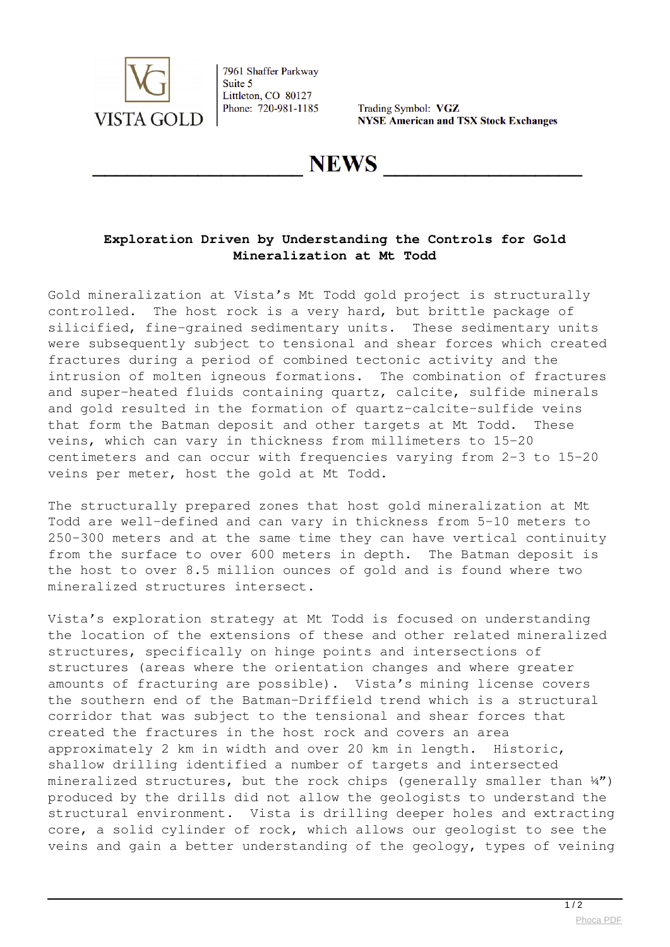

7961 Shaffer Parkway Suite 5 Littleton, CO 80127 Phone: 720-981-1185

Trading Symbol: VGZ **NYSE American and TSX Stock Exchanges** 

## **NEWS**

## **Exploration Driven by Understanding the Controls for Gold Mineralization at Mt Todd**

Gold mineralization at Vista's Mt Todd gold project is structurally controlled. The host rock is a very hard, but brittle package of silicified, fine-grained sedimentary units. These sedimentary units were subsequently subject to tensional and shear forces which created fractures during a period of combined tectonic activity and the intrusion of molten igneous formations. The combination of fractures and super-heated fluids containing quartz, calcite, sulfide minerals and gold resulted in the formation of quartz-calcite-sulfide veins that form the Batman deposit and other targets at Mt Todd. These veins, which can vary in thickness from millimeters to 15-20 centimeters and can occur with frequencies varying from 2-3 to 15-20 veins per meter, host the gold at Mt Todd.

The structurally prepared zones that host gold mineralization at Mt Todd are well-defined and can vary in thickness from 5-10 meters to 250-300 meters and at the same time they can have vertical continuity from the surface to over 600 meters in depth. The Batman deposit is the host to over 8.5 million ounces of gold and is found where two mineralized structures intersect.

Vista's exploration strategy at Mt Todd is focused on understanding the location of the extensions of these and other related mineralized structures, specifically on hinge points and intersections of structures (areas where the orientation changes and where greater amounts of fracturing are possible). Vista's mining license covers the southern end of the Batman-Driffield trend which is a structural corridor that was subject to the tensional and shear forces that created the fractures in the host rock and covers an area approximately 2 km in width and over 20 km in length. Historic, shallow drilling identified a number of targets and intersected mineralized structures, but the rock chips (generally smaller than  $\frac{1}{4}$ ) produced by the drills did not allow the geologists to understand the structural environment. Vista is drilling deeper holes and extracting core, a solid cylinder of rock, which allows our geologist to see the veins and gain a better understanding of the geology, types of veining

 $\frac{1}{2}$